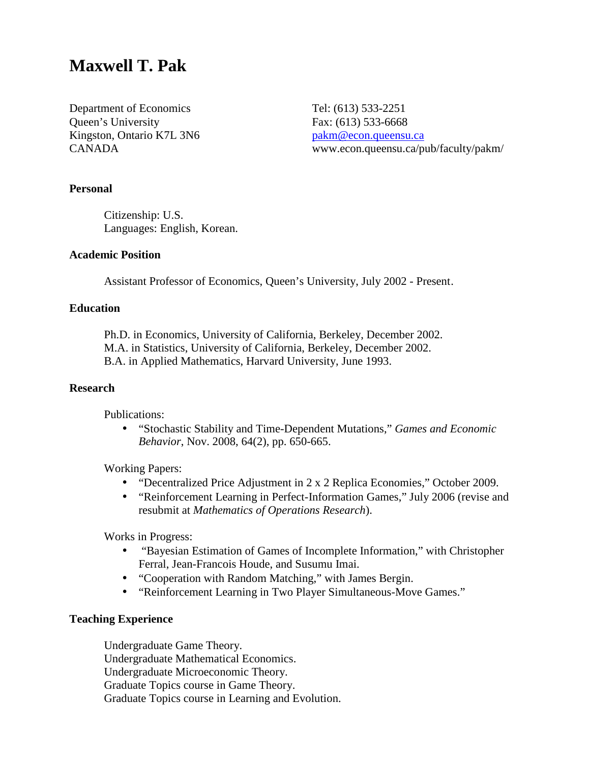# **Maxwell T. Pak**

Department of Economics Tel: (613) 533-2251 Queen's University Fax: (613) 533-6668 Kingston, Ontario K7L 3N6 pakm@econ.queensu.ca

CANADA www.econ.queensu.ca/pub/faculty/pakm/

#### **Personal**

 Citizenship: U.S. Languages: English, Korean.

# **Academic Position**

Assistant Professor of Economics, Queen's University, July 2002 - Present .

#### **Education**

Ph.D. in Economics, University of California, Berkeley, December 2002. M.A. in Statistics, University of California, Berkeley, December 2002. B.A. in Applied Mathematics, Harvard University, June 1993.

# **Research**

Publications:

• "Stochastic Stability and Time-Dependent Mutations," *Games and Economic Behavior*, Nov. 2008, 64(2), pp. 650-665.

Working Papers:

- "Decentralized Price Adjustment in 2 x 2 Replica Economies," October 2009.
- "Reinforcement Learning in Perfect-Information Games," July 2006 (revise and resubmit at *Mathematics of Operations Research*).

Works in Progress:

- "Bayesian Estimation of Games of Incomplete Information," with Christopher Ferral, Jean-Francois Houde, and Susumu Imai.
- "Cooperation with Random Matching," with James Bergin.
- "Reinforcement Learning in Two Player Simultaneous-Move Games."

## **Teaching Experience**

Undergraduate Game Theory. Undergraduate Mathematical Economics. Undergraduate Microeconomic Theory. Graduate Topics course in Game Theory. Graduate Topics course in Learning and Evolution.